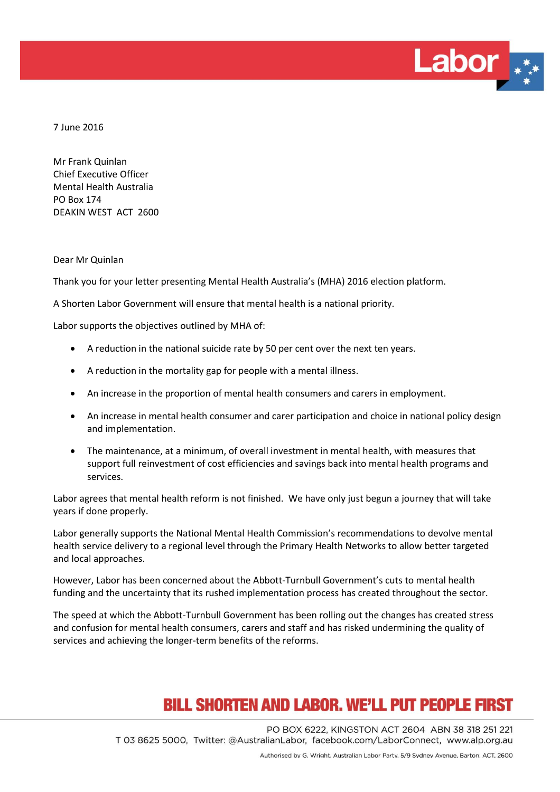

7 June 2016

Mr Frank Quinlan Chief Executive Officer Mental Health Australia PO Box 174 DEAKIN WEST ACT 2600

Dear Mr Quinlan

Thank you for your letter presenting Mental Health Australia's (MHA) 2016 election platform.

A Shorten Labor Government will ensure that mental health is a national priority.

Labor supports the objectives outlined by MHA of:

- A reduction in the national suicide rate by 50 per cent over the next ten years.
- A reduction in the mortality gap for people with a mental illness.
- An increase in the proportion of mental health consumers and carers in employment.
- An increase in mental health consumer and carer participation and choice in national policy design and implementation.
- The maintenance, at a minimum, of overall investment in mental health, with measures that support full reinvestment of cost efficiencies and savings back into mental health programs and services.

Labor agrees that mental health reform is not finished. We have only just begun a journey that will take years if done properly.

Labor generally supports the National Mental Health Commission's recommendations to devolve mental health service delivery to a regional level through the Primary Health Networks to allow better targeted and local approaches.

However, Labor has been concerned about the Abbott-Turnbull Government's cuts to mental health funding and the uncertainty that its rushed implementation process has created throughout the sector.

The speed at which the Abbott-Turnbull Government has been rolling out the changes has created stress and confusion for mental health consumers, carers and staff and has risked undermining the quality of services and achieving the longer-term benefits of the reforms.

## **BILL SHORTEN AND LABOR. WE'LL PUT PEOPLE FIRST**

PO BOX 6222, KINGSTON ACT 2604 ABN 38 318 251 221 T 03 8625 5000, Twitter: @AustralianLabor, facebook.com/LaborConnect, www.alp.org.au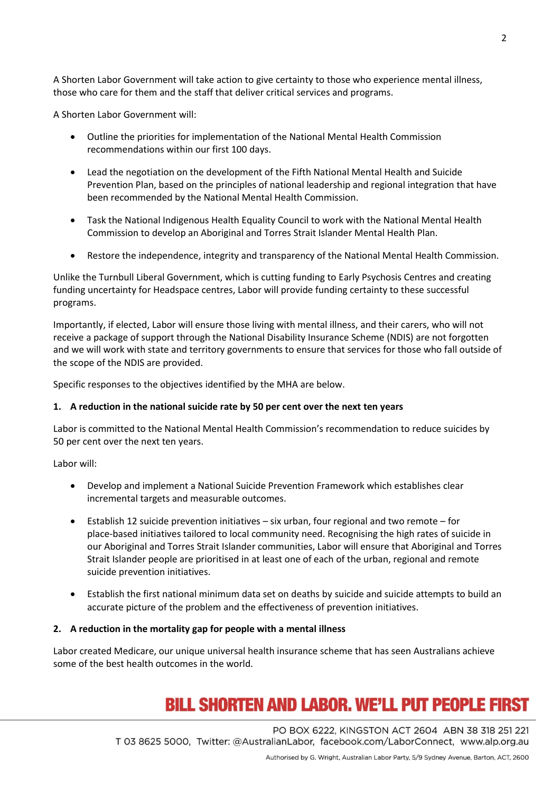A Shorten Labor Government will take action to give certainty to those who experience mental illness, those who care for them and the staff that deliver critical services and programs.

A Shorten Labor Government will:

- Outline the priorities for implementation of the National Mental Health Commission recommendations within our first 100 days.
- Lead the negotiation on the development of the Fifth National Mental Health and Suicide Prevention Plan, based on the principles of national leadership and regional integration that have been recommended by the National Mental Health Commission.
- Task the National Indigenous Health Equality Council to work with the National Mental Health Commission to develop an Aboriginal and Torres Strait Islander Mental Health Plan.
- Restore the independence, integrity and transparency of the National Mental Health Commission.

Unlike the Turnbull Liberal Government, which is cutting funding to Early Psychosis Centres and creating funding uncertainty for Headspace centres, Labor will provide funding certainty to these successful programs.

Importantly, if elected, Labor will ensure those living with mental illness, and their carers, who will not receive a package of support through the National Disability Insurance Scheme (NDIS) are not forgotten and we will work with state and territory governments to ensure that services for those who fall outside of the scope of the NDIS are provided.

Specific responses to the objectives identified by the MHA are below.

## **1. A reduction in the national suicide rate by 50 per cent over the next ten years**

Labor is committed to the National Mental Health Commission's recommendation to reduce suicides by 50 per cent over the next ten years.

Labor will:

- Develop and implement a National Suicide Prevention Framework which establishes clear incremental targets and measurable outcomes.
- Establish 12 suicide prevention initiatives six urban, four regional and two remote for place-based initiatives tailored to local community need. Recognising the high rates of suicide in our Aboriginal and Torres Strait Islander communities, Labor will ensure that Aboriginal and Torres Strait Islander people are prioritised in at least one of each of the urban, regional and remote suicide prevention initiatives.
- Establish the first national minimum data set on deaths by suicide and suicide attempts to build an accurate picture of the problem and the effectiveness of prevention initiatives.

## **2. A reduction in the mortality gap for people with a mental illness**

Labor created Medicare, our unique universal health insurance scheme that has seen Australians achieve some of the best health outcomes in the world.

# **BILL SHORTEN AND LABOR. WE'LL PUT PEOPLE FIRST**

PO BOX 6222, KINGSTON ACT 2604 ABN 38 318 251 221 T 03 8625 5000, Twitter: @AustralianLabor, facebook.com/LaborConnect, www.alp.org.au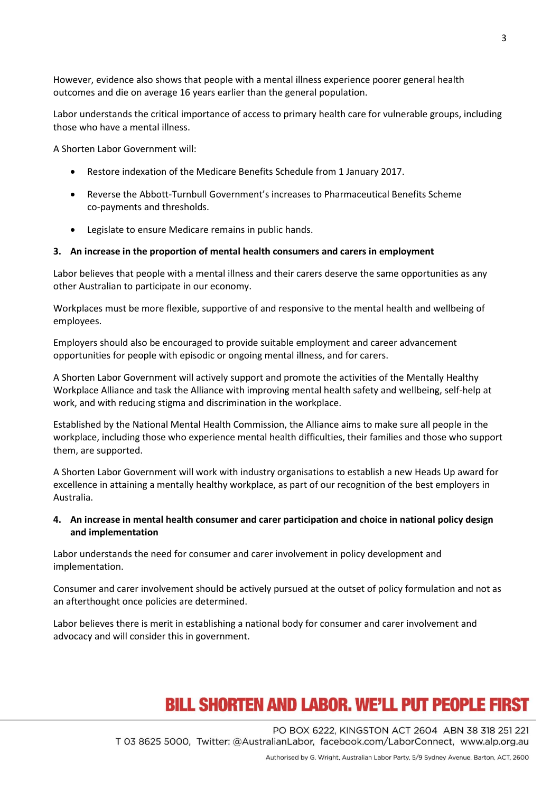However, evidence also shows that people with a mental illness experience poorer general health outcomes and die on average 16 years earlier than the general population.

Labor understands the critical importance of access to primary health care for vulnerable groups, including those who have a mental illness.

A Shorten Labor Government will:

- Restore indexation of the Medicare Benefits Schedule from 1 January 2017.
- Reverse the Abbott-Turnbull Government's increases to Pharmaceutical Benefits Scheme co-payments and thresholds.
- Legislate to ensure Medicare remains in public hands.

#### **3. An increase in the proportion of mental health consumers and carers in employment**

Labor believes that people with a mental illness and their carers deserve the same opportunities as any other Australian to participate in our economy.

Workplaces must be more flexible, supportive of and responsive to the mental health and wellbeing of employees.

Employers should also be encouraged to provide suitable employment and career advancement opportunities for people with episodic or ongoing mental illness, and for carers.

A Shorten Labor Government will actively support and promote the activities of the Mentally Healthy Workplace Alliance and task the Alliance with improving mental health safety and wellbeing, self-help at work, and with reducing stigma and discrimination in the workplace.

Established by the National Mental Health Commission, the Alliance aims to make sure all people in the workplace, including those who experience mental health difficulties, their families and those who support them, are supported.

A Shorten Labor Government will work with industry organisations to establish a new Heads Up award for excellence in attaining a mentally healthy workplace, as part of our recognition of the best employers in Australia.

## **4. An increase in mental health consumer and carer participation and choice in national policy design and implementation**

Labor understands the need for consumer and carer involvement in policy development and implementation.

Consumer and carer involvement should be actively pursued at the outset of policy formulation and not as an afterthought once policies are determined.

Labor believes there is merit in establishing a national body for consumer and carer involvement and advocacy and will consider this in government.

## **BILL SHORTEN AND LABOR. WE'LL PUT PEOPLE FIRST**

PO BOX 6222, KINGSTON ACT 2604 ABN 38 318 251 221 T 03 8625 5000, Twitter: @AustralianLabor, facebook.com/LaborConnect, www.alp.org.au